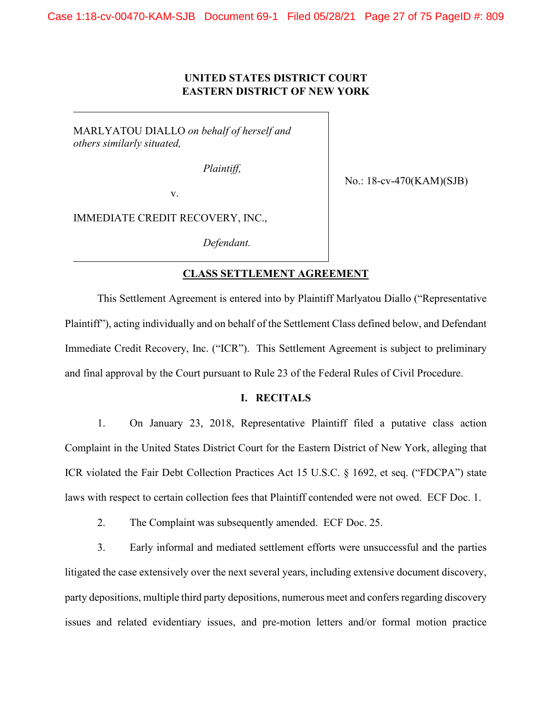# **UNITED STATES DISTRICT COURT EASTERN DISTRICT OF NEW YORK**

MARLYATOU DIALLO *on behalf of herself and others similarly situated,*

*Plaintiff,*

No.: 18-cv-470(KAM)(SJB)

v.

IMMEDIATE CREDIT RECOVERY, INC.,

*Defendant.*

## **CLASS SETTLEMENT AGREEMENT**

This Settlement Agreement is entered into by Plaintiff Marlyatou Diallo ("Representative Plaintiff"), acting individually and on behalf of the Settlement Class defined below, and Defendant Immediate Credit Recovery, Inc. ("ICR"). This Settlement Agreement is subject to preliminary and final approval by the Court pursuant to Rule 23 of the Federal Rules of Civil Procedure.

## **I. RECITALS**

1. On January 23, 2018, Representative Plaintiff filed a putative class action Complaint in the United States District Court for the Eastern District of New York, alleging that ICR violated the Fair Debt Collection Practices Act 15 U.S.C. § 1692, et seq. ("FDCPA") state laws with respect to certain collection fees that Plaintiff contended were not owed. ECF Doc. 1.

2. The Complaint was subsequently amended. ECF Doc. 25.

3. Early informal and mediated settlement efforts were unsuccessful and the parties litigated the case extensively over the next several years, including extensive document discovery, party depositions, multiple third party depositions, numerous meet and confers regarding discovery issues and related evidentiary issues, and pre-motion letters and/or formal motion practice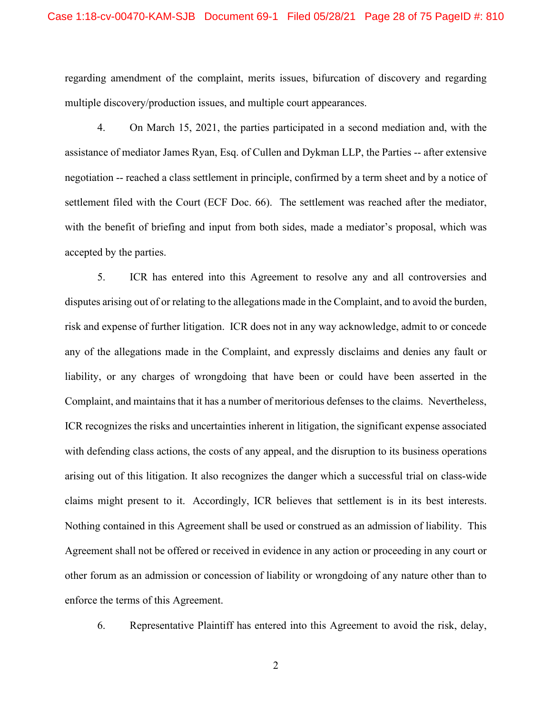regarding amendment of the complaint, merits issues, bifurcation of discovery and regarding multiple discovery/production issues, and multiple court appearances.

4. On March 15, 2021, the parties participated in a second mediation and, with the assistance of mediator James Ryan, Esq. of Cullen and Dykman LLP, the Parties -- after extensive negotiation -- reached a class settlement in principle, confirmed by a term sheet and by a notice of settlement filed with the Court (ECF Doc. 66). The settlement was reached after the mediator, with the benefit of briefing and input from both sides, made a mediator's proposal, which was accepted by the parties.

5. ICR has entered into this Agreement to resolve any and all controversies and disputes arising out of or relating to the allegations made in the Complaint, and to avoid the burden, risk and expense of further litigation. ICR does not in any way acknowledge, admit to or concede any of the allegations made in the Complaint, and expressly disclaims and denies any fault or liability, or any charges of wrongdoing that have been or could have been asserted in the Complaint, and maintains that it has a number of meritorious defenses to the claims. Nevertheless, ICR recognizes the risks and uncertainties inherent in litigation, the significant expense associated with defending class actions, the costs of any appeal, and the disruption to its business operations arising out of this litigation. It also recognizes the danger which a successful trial on class-wide claims might present to it. Accordingly, ICR believes that settlement is in its best interests. Nothing contained in this Agreement shall be used or construed as an admission of liability. This Agreement shall not be offered or received in evidence in any action or proceeding in any court or other forum as an admission or concession of liability or wrongdoing of any nature other than to enforce the terms of this Agreement.

6. Representative Plaintiff has entered into this Agreement to avoid the risk, delay,

2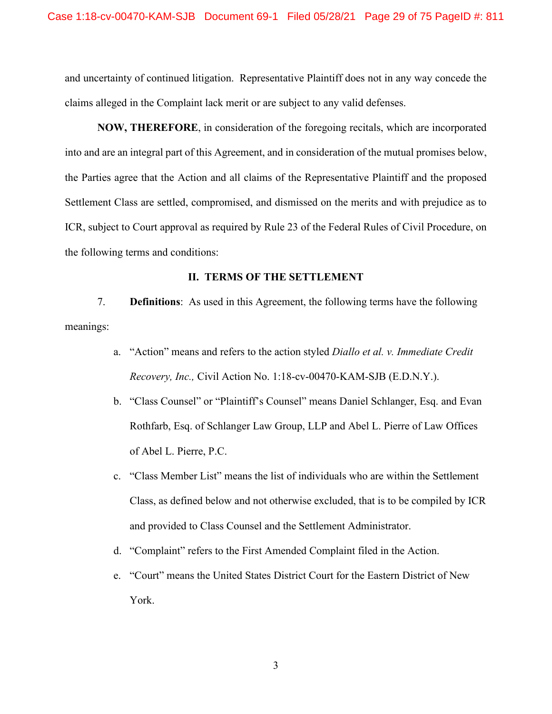and uncertainty of continued litigation. Representative Plaintiff does not in any way concede the claims alleged in the Complaint lack merit or are subject to any valid defenses.

**NOW, THEREFORE**, in consideration of the foregoing recitals, which are incorporated into and are an integral part of this Agreement, and in consideration of the mutual promises below, the Parties agree that the Action and all claims of the Representative Plaintiff and the proposed Settlement Class are settled, compromised, and dismissed on the merits and with prejudice as to ICR, subject to Court approval as required by Rule 23 of the Federal Rules of Civil Procedure, on the following terms and conditions:

#### **II. TERMS OF THE SETTLEMENT**

7. **Definitions**: As used in this Agreement, the following terms have the following meanings:

- a. "Action" means and refers to the action styled *Diallo et al. v. Immediate Credit Recovery, Inc.,* Civil Action No. 1:18-cv-00470-KAM-SJB (E.D.N.Y.).
- b. "Class Counsel" or "Plaintiff's Counsel" means Daniel Schlanger, Esq. and Evan Rothfarb, Esq. of Schlanger Law Group, LLP and Abel L. Pierre of Law Offices of Abel L. Pierre, P.C.
- c. "Class Member List" means the list of individuals who are within the Settlement Class, as defined below and not otherwise excluded, that is to be compiled by ICR and provided to Class Counsel and the Settlement Administrator.
- d. "Complaint" refers to the First Amended Complaint filed in the Action.
- e. "Court" means the United States District Court for the Eastern District of New York.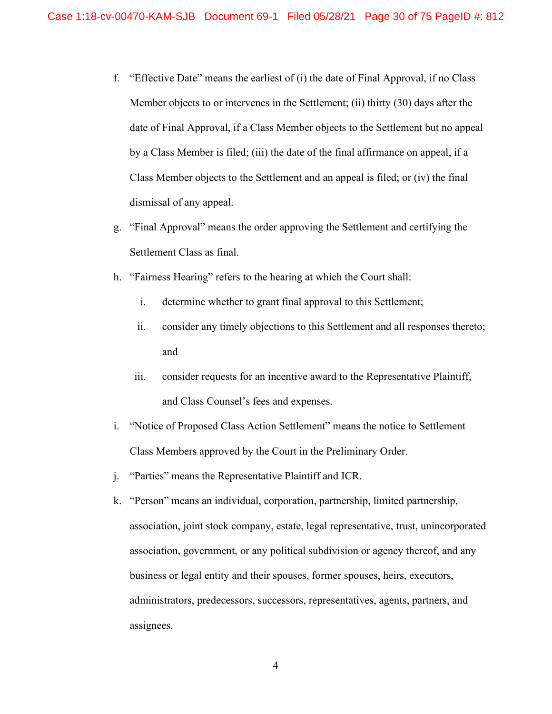- f. "Effective Date" means the earliest of (i) the date of Final Approval, if no Class Member objects to or intervenes in the Settlement; (ii) thirty (30) days after the date of Final Approval, if a Class Member objects to the Settlement but no appeal by a Class Member is filed; (iii) the date of the final affirmance on appeal, if a Class Member objects to the Settlement and an appeal is filed; or (iv) the final dismissal of any appeal.
- g. "Final Approval" means the order approving the Settlement and certifying the Settlement Class as final.
- h. "Fairness Hearing" refers to the hearing at which the Court shall:
	- i. determine whether to grant final approval to this Settlement;
	- ii. consider any timely objections to this Settlement and all responses thereto; and
	- iii. consider requests for an incentive award to the Representative Plaintiff, and Class Counsel's fees and expenses.
- i. "Notice of Proposed Class Action Settlement" means the notice to Settlement Class Members approved by the Court in the Preliminary Order.
- j. "Parties" means the Representative Plaintiff and ICR.
- k. "Person" means an individual, corporation, partnership, limited partnership, association, joint stock company, estate, legal representative, trust, unincorporated association, government, or any political subdivision or agency thereof, and any business or legal entity and their spouses, former spouses, heirs, executors, administrators, predecessors, successors, representatives, agents, partners, and assignees.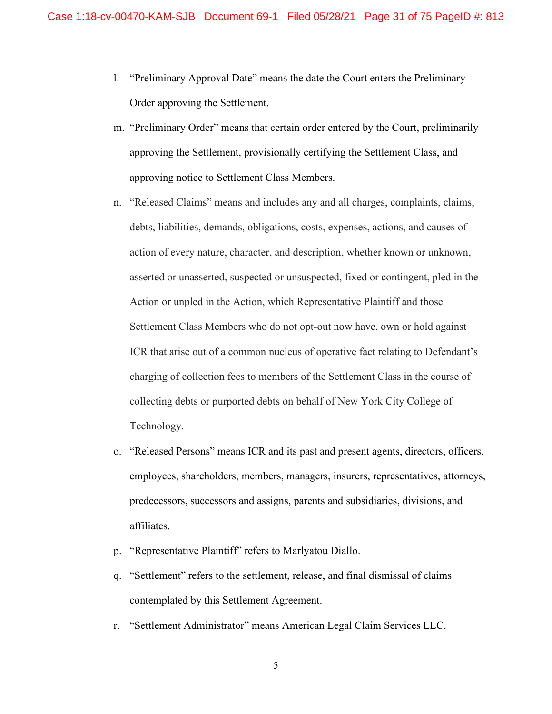- l. "Preliminary Approval Date" means the date the Court enters the Preliminary Order approving the Settlement.
- m. "Preliminary Order" means that certain order entered by the Court, preliminarily approving the Settlement, provisionally certifying the Settlement Class, and approving notice to Settlement Class Members.
- n. "Released Claims" means and includes any and all charges, complaints, claims, debts, liabilities, demands, obligations, costs, expenses, actions, and causes of action of every nature, character, and description, whether known or unknown, asserted or unasserted, suspected or unsuspected, fixed or contingent, pled in the Action or unpled in the Action, which Representative Plaintiff and those Settlement Class Members who do not opt-out now have, own or hold against ICR that arise out of a common nucleus of operative fact relating to Defendant's charging of collection fees to members of the Settlement Class in the course of collecting debts or purported debts on behalf of New York City College of Technology.
- o. "Released Persons" means ICR and its past and present agents, directors, officers, employees, shareholders, members, managers, insurers, representatives, attorneys, predecessors, successors and assigns, parents and subsidiaries, divisions, and affiliates.
- p. "Representative Plaintiff" refers to Marlyatou Diallo.
- q. "Settlement" refers to the settlement, release, and final dismissal of claims contemplated by this Settlement Agreement.
- r. "Settlement Administrator" means American Legal Claim Services LLC.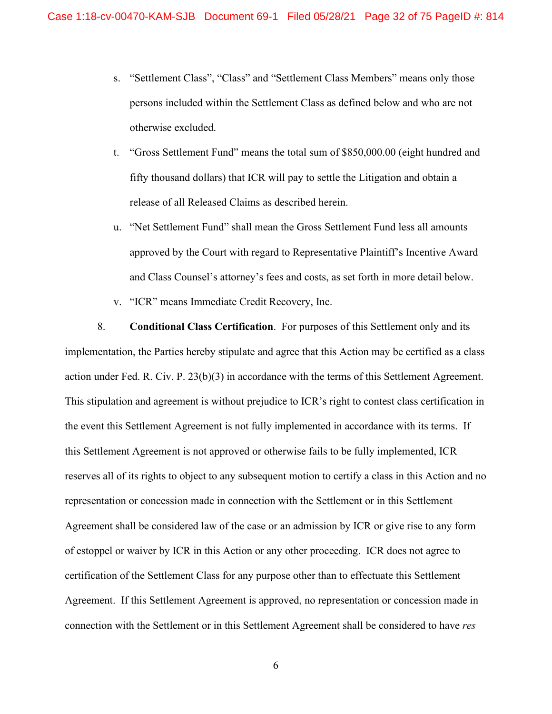- s. "Settlement Class", "Class" and "Settlement Class Members" means only those persons included within the Settlement Class as defined below and who are not otherwise excluded.
- t. "Gross Settlement Fund" means the total sum of \$850,000.00 (eight hundred and fifty thousand dollars) that ICR will pay to settle the Litigation and obtain a release of all Released Claims as described herein.
- u. "Net Settlement Fund" shall mean the Gross Settlement Fund less all amounts approved by the Court with regard to Representative Plaintiff's Incentive Award and Class Counsel's attorney's fees and costs, as set forth in more detail below.
- v. "ICR" means Immediate Credit Recovery, Inc.

8. **Conditional Class Certification**. For purposes of this Settlement only and its implementation, the Parties hereby stipulate and agree that this Action may be certified as a class action under Fed. R. Civ. P. 23(b)(3) in accordance with the terms of this Settlement Agreement. This stipulation and agreement is without prejudice to ICR's right to contest class certification in the event this Settlement Agreement is not fully implemented in accordance with its terms. If this Settlement Agreement is not approved or otherwise fails to be fully implemented, ICR reserves all of its rights to object to any subsequent motion to certify a class in this Action and no representation or concession made in connection with the Settlement or in this Settlement Agreement shall be considered law of the case or an admission by ICR or give rise to any form of estoppel or waiver by ICR in this Action or any other proceeding. ICR does not agree to certification of the Settlement Class for any purpose other than to effectuate this Settlement Agreement. If this Settlement Agreement is approved, no representation or concession made in connection with the Settlement or in this Settlement Agreement shall be considered to have *res*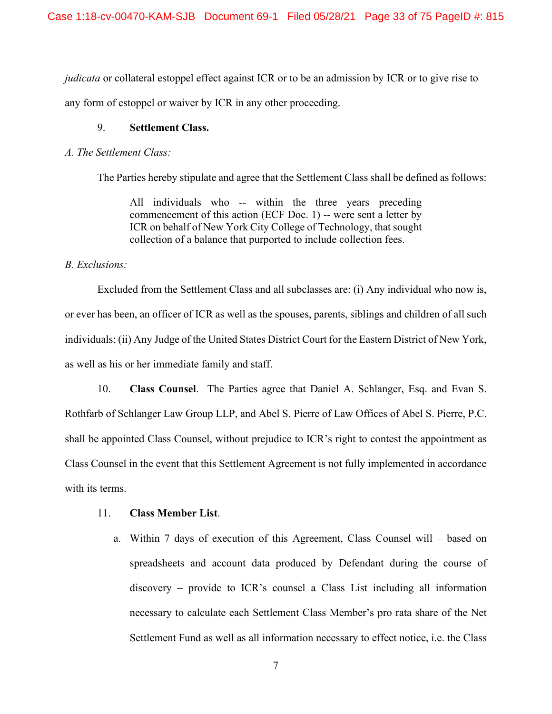*judicata* or collateral estoppel effect against ICR or to be an admission by ICR or to give rise to any form of estoppel or waiver by ICR in any other proceeding.

## 9. **Settlement Class.**

### *A. The Settlement Class:*

The Parties hereby stipulate and agree that the Settlement Class shall be defined as follows:

All individuals who -- within the three years preceding commencement of this action (ECF Doc. 1) -- were sent a letter by ICR on behalf of New York City College of Technology, that sought collection of a balance that purported to include collection fees.

## *B. Exclusions:*

Excluded from the Settlement Class and all subclasses are: (i) Any individual who now is, or ever has been, an officer of ICR as well as the spouses, parents, siblings and children of all such individuals; (ii) Any Judge of the United States District Court for the Eastern District of New York, as well as his or her immediate family and staff.

10. **Class Counsel**. The Parties agree that Daniel A. Schlanger, Esq. and Evan S. Rothfarb of Schlanger Law Group LLP, and Abel S. Pierre of Law Offices of Abel S. Pierre, P.C. shall be appointed Class Counsel, without prejudice to ICR's right to contest the appointment as Class Counsel in the event that this Settlement Agreement is not fully implemented in accordance with its terms.

## 11. **Class Member List**.

a. Within 7 days of execution of this Agreement, Class Counsel will – based on spreadsheets and account data produced by Defendant during the course of discovery – provide to ICR's counsel a Class List including all information necessary to calculate each Settlement Class Member's pro rata share of the Net Settlement Fund as well as all information necessary to effect notice, i.e. the Class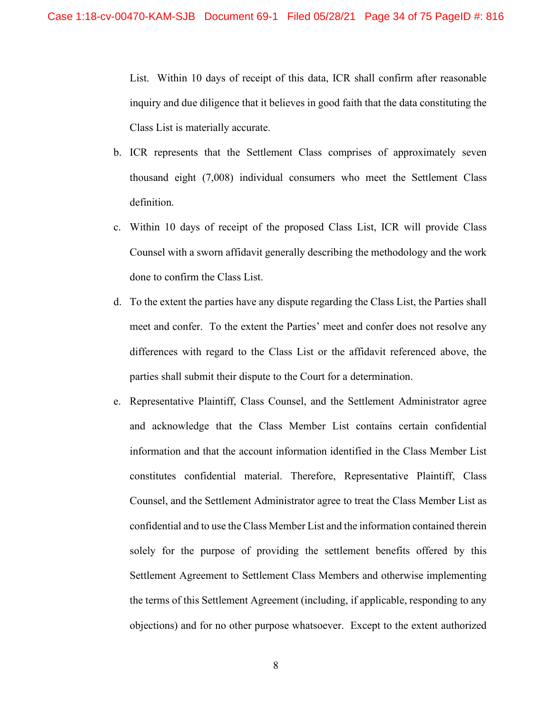List. Within 10 days of receipt of this data, ICR shall confirm after reasonable inquiry and due diligence that it believes in good faith that the data constituting the Class List is materially accurate.

- b. ICR represents that the Settlement Class comprises of approximately seven thousand eight (7,008) individual consumers who meet the Settlement Class definition.
- c. Within 10 days of receipt of the proposed Class List, ICR will provide Class Counsel with a sworn affidavit generally describing the methodology and the work done to confirm the Class List.
- d. To the extent the parties have any dispute regarding the Class List, the Parties shall meet and confer. To the extent the Parties' meet and confer does not resolve any differences with regard to the Class List or the affidavit referenced above, the parties shall submit their dispute to the Court for a determination.
- e. Representative Plaintiff, Class Counsel, and the Settlement Administrator agree and acknowledge that the Class Member List contains certain confidential information and that the account information identified in the Class Member List constitutes confidential material. Therefore, Representative Plaintiff, Class Counsel, and the Settlement Administrator agree to treat the Class Member List as confidential and to use the Class Member List and the information contained therein solely for the purpose of providing the settlement benefits offered by this Settlement Agreement to Settlement Class Members and otherwise implementing the terms of this Settlement Agreement (including, if applicable, responding to any objections) and for no other purpose whatsoever. Except to the extent authorized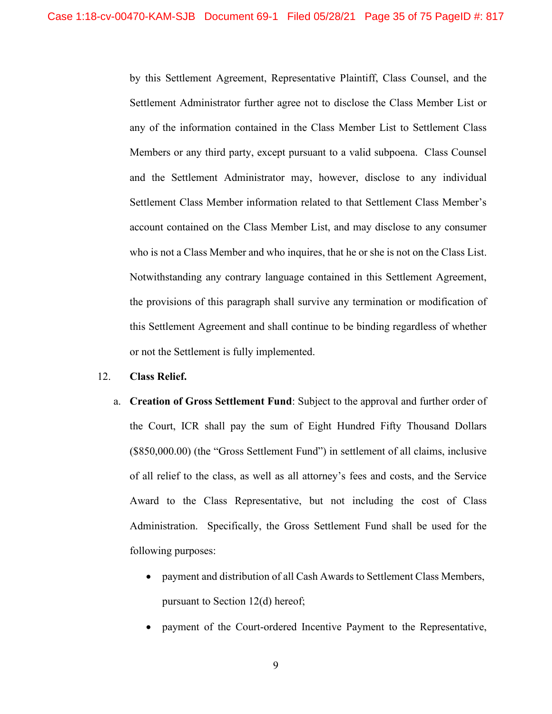by this Settlement Agreement, Representative Plaintiff, Class Counsel, and the Settlement Administrator further agree not to disclose the Class Member List or any of the information contained in the Class Member List to Settlement Class Members or any third party, except pursuant to a valid subpoena. Class Counsel and the Settlement Administrator may, however, disclose to any individual Settlement Class Member information related to that Settlement Class Member's account contained on the Class Member List, and may disclose to any consumer who is not a Class Member and who inquires, that he or she is not on the Class List. Notwithstanding any contrary language contained in this Settlement Agreement, the provisions of this paragraph shall survive any termination or modification of this Settlement Agreement and shall continue to be binding regardless of whether or not the Settlement is fully implemented.

### 12. **Class Relief.**

- a. **Creation of Gross Settlement Fund**: Subject to the approval and further order of the Court, ICR shall pay the sum of Eight Hundred Fifty Thousand Dollars (\$850,000.00) (the "Gross Settlement Fund") in settlement of all claims, inclusive of all relief to the class, as well as all attorney's fees and costs, and the Service Award to the Class Representative, but not including the cost of Class Administration. Specifically, the Gross Settlement Fund shall be used for the following purposes:
	- payment and distribution of all Cash Awards to Settlement Class Members, pursuant to Section 12(d) hereof;
	- payment of the Court-ordered Incentive Payment to the Representative,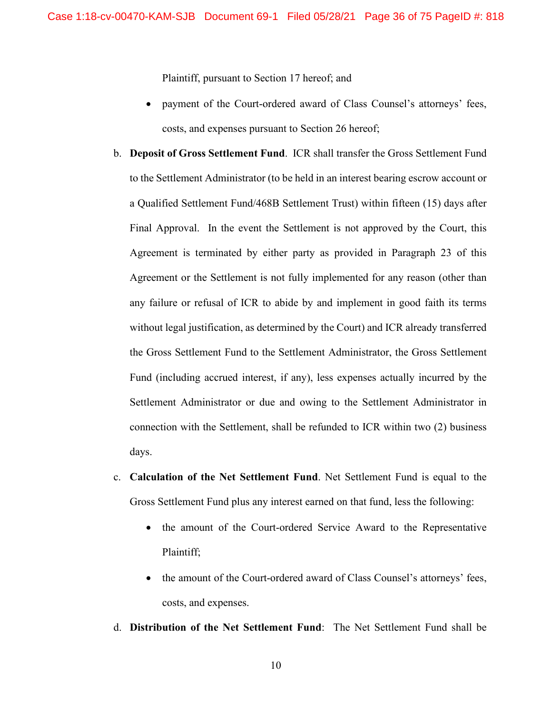Plaintiff, pursuant to Section 17 hereof; and

- payment of the Court-ordered award of Class Counsel's attorneys' fees, costs, and expenses pursuant to Section 26 hereof;
- b. **Deposit of Gross Settlement Fund**. ICR shall transfer the Gross Settlement Fund to the Settlement Administrator (to be held in an interest bearing escrow account or a Qualified Settlement Fund/468B Settlement Trust) within fifteen (15) days after Final Approval. In the event the Settlement is not approved by the Court, this Agreement is terminated by either party as provided in Paragraph 23 of this Agreement or the Settlement is not fully implemented for any reason (other than any failure or refusal of ICR to abide by and implement in good faith its terms without legal justification, as determined by the Court) and ICR already transferred the Gross Settlement Fund to the Settlement Administrator, the Gross Settlement Fund (including accrued interest, if any), less expenses actually incurred by the Settlement Administrator or due and owing to the Settlement Administrator in connection with the Settlement, shall be refunded to ICR within two (2) business days.
- c. **Calculation of the Net Settlement Fund**. Net Settlement Fund is equal to the Gross Settlement Fund plus any interest earned on that fund, less the following:
	- the amount of the Court-ordered Service Award to the Representative Plaintiff;
	- the amount of the Court-ordered award of Class Counsel's attorneys' fees, costs, and expenses.
- d. **Distribution of the Net Settlement Fund**: The Net Settlement Fund shall be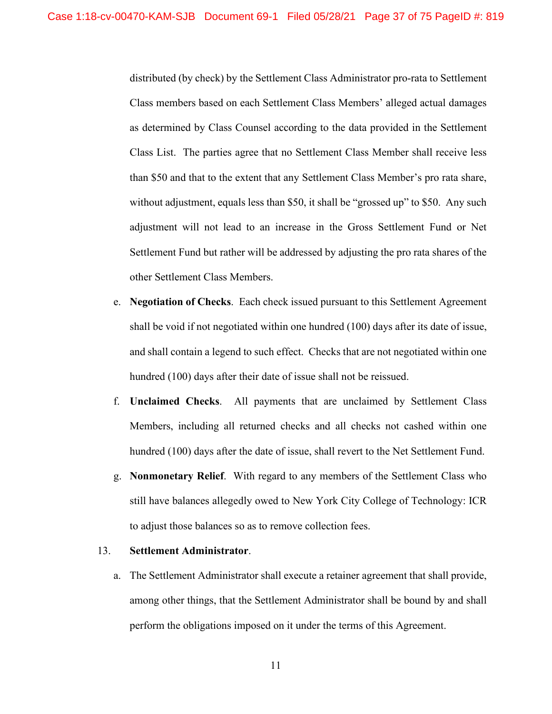distributed (by check) by the Settlement Class Administrator pro-rata to Settlement Class members based on each Settlement Class Members' alleged actual damages as determined by Class Counsel according to the data provided in the Settlement Class List. The parties agree that no Settlement Class Member shall receive less than \$50 and that to the extent that any Settlement Class Member's pro rata share, without adjustment, equals less than \$50, it shall be "grossed up" to \$50. Any such adjustment will not lead to an increase in the Gross Settlement Fund or Net Settlement Fund but rather will be addressed by adjusting the pro rata shares of the other Settlement Class Members.

- e. **Negotiation of Checks**. Each check issued pursuant to this Settlement Agreement shall be void if not negotiated within one hundred (100) days after its date of issue, and shall contain a legend to such effect. Checks that are not negotiated within one hundred (100) days after their date of issue shall not be reissued.
- f. **Unclaimed Checks**. All payments that are unclaimed by Settlement Class Members, including all returned checks and all checks not cashed within one hundred (100) days after the date of issue, shall revert to the Net Settlement Fund.
- g. **Nonmonetary Relief**. With regard to any members of the Settlement Class who still have balances allegedly owed to New York City College of Technology: ICR to adjust those balances so as to remove collection fees.

## 13. **Settlement Administrator**.

a. The Settlement Administrator shall execute a retainer agreement that shall provide, among other things, that the Settlement Administrator shall be bound by and shall perform the obligations imposed on it under the terms of this Agreement.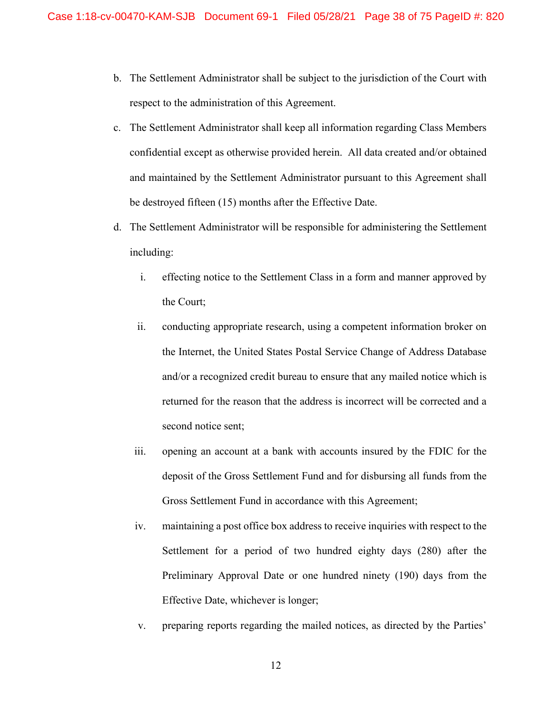- b. The Settlement Administrator shall be subject to the jurisdiction of the Court with respect to the administration of this Agreement.
- c. The Settlement Administrator shall keep all information regarding Class Members confidential except as otherwise provided herein. All data created and/or obtained and maintained by the Settlement Administrator pursuant to this Agreement shall be destroyed fifteen (15) months after the Effective Date.
- d. The Settlement Administrator will be responsible for administering the Settlement including:
	- i. effecting notice to the Settlement Class in a form and manner approved by the Court;
	- ii. conducting appropriate research, using a competent information broker on the Internet, the United States Postal Service Change of Address Database and/or a recognized credit bureau to ensure that any mailed notice which is returned for the reason that the address is incorrect will be corrected and a second notice sent;
	- iii. opening an account at a bank with accounts insured by the FDIC for the deposit of the Gross Settlement Fund and for disbursing all funds from the Gross Settlement Fund in accordance with this Agreement;
	- iv. maintaining a post office box address to receive inquiries with respect to the Settlement for a period of two hundred eighty days (280) after the Preliminary Approval Date or one hundred ninety (190) days from the Effective Date, whichever is longer;
	- v. preparing reports regarding the mailed notices, as directed by the Parties'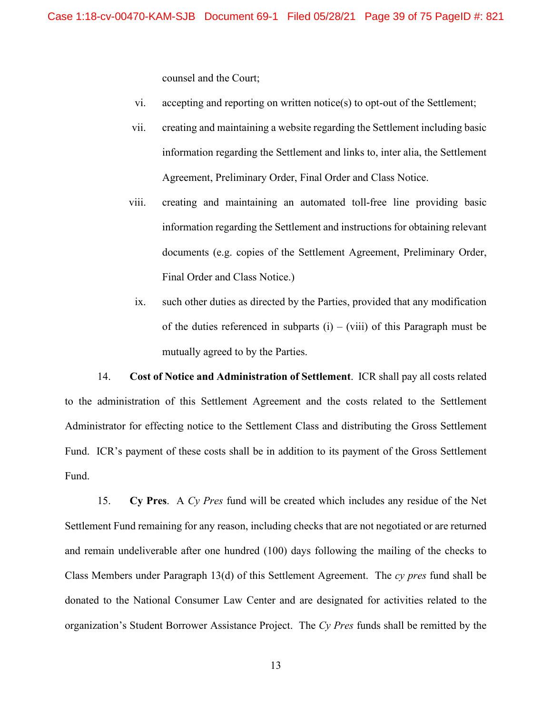counsel and the Court;

- vi. accepting and reporting on written notice(s) to opt-out of the Settlement;
- vii. creating and maintaining a website regarding the Settlement including basic information regarding the Settlement and links to, inter alia, the Settlement Agreement, Preliminary Order, Final Order and Class Notice.
- viii. creating and maintaining an automated toll-free line providing basic information regarding the Settlement and instructions for obtaining relevant documents (e.g. copies of the Settlement Agreement, Preliminary Order, Final Order and Class Notice.)
- ix. such other duties as directed by the Parties, provided that any modification of the duties referenced in subparts  $(i) - (viii)$  of this Paragraph must be mutually agreed to by the Parties.

14. **Cost of Notice and Administration of Settlement**. ICR shall pay all costs related to the administration of this Settlement Agreement and the costs related to the Settlement Administrator for effecting notice to the Settlement Class and distributing the Gross Settlement Fund. ICR's payment of these costs shall be in addition to its payment of the Gross Settlement Fund.

15. **Cy Pres**. A *Cy Pres* fund will be created which includes any residue of the Net Settlement Fund remaining for any reason, including checks that are not negotiated or are returned and remain undeliverable after one hundred (100) days following the mailing of the checks to Class Members under Paragraph 13(d) of this Settlement Agreement. The *cy pres* fund shall be donated to the National Consumer Law Center and are designated for activities related to the organization's Student Borrower Assistance Project. The *Cy Pres* funds shall be remitted by the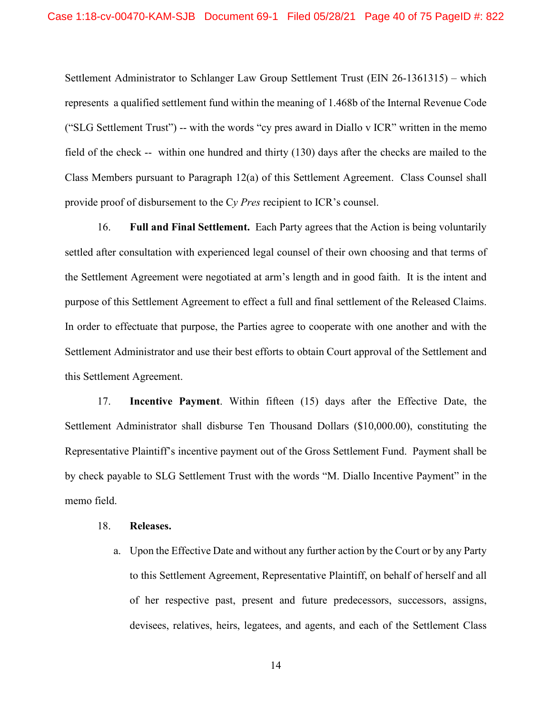Settlement Administrator to Schlanger Law Group Settlement Trust (EIN 26-1361315) – which represents a qualified settlement fund within the meaning of 1.468b of the Internal Revenue Code ("SLG Settlement Trust") -- with the words "cy pres award in Diallo v ICR" written in the memo field of the check -- within one hundred and thirty (130) days after the checks are mailed to the Class Members pursuant to Paragraph 12(a) of this Settlement Agreement. Class Counsel shall provide proof of disbursement to the C*y Pres* recipient to ICR's counsel.

16. **Full and Final Settlement.** Each Party agrees that the Action is being voluntarily settled after consultation with experienced legal counsel of their own choosing and that terms of the Settlement Agreement were negotiated at arm's length and in good faith. It is the intent and purpose of this Settlement Agreement to effect a full and final settlement of the Released Claims. In order to effectuate that purpose, the Parties agree to cooperate with one another and with the Settlement Administrator and use their best efforts to obtain Court approval of the Settlement and this Settlement Agreement.

17. **Incentive Payment**. Within fifteen (15) days after the Effective Date, the Settlement Administrator shall disburse Ten Thousand Dollars (\$10,000.00), constituting the Representative Plaintiff's incentive payment out of the Gross Settlement Fund. Payment shall be by check payable to SLG Settlement Trust with the words "M. Diallo Incentive Payment" in the memo field.

#### 18. **Releases.**

a. Upon the Effective Date and without any further action by the Court or by any Party to this Settlement Agreement, Representative Plaintiff, on behalf of herself and all of her respective past, present and future predecessors, successors, assigns, devisees, relatives, heirs, legatees, and agents, and each of the Settlement Class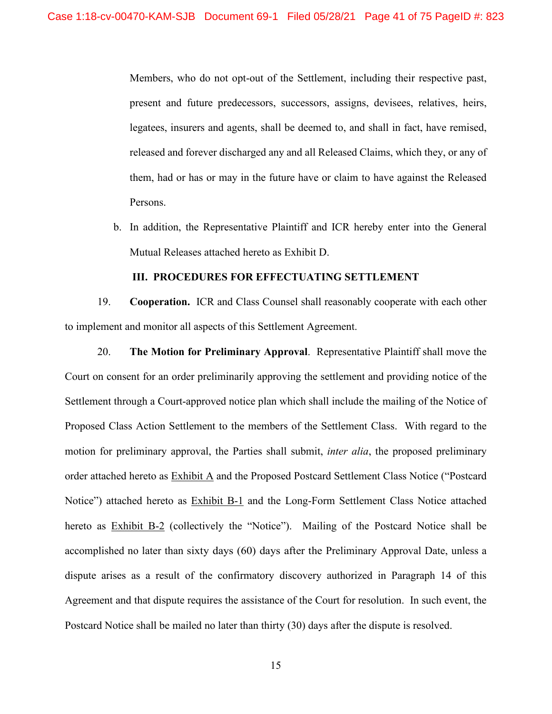Members, who do not opt-out of the Settlement, including their respective past, present and future predecessors, successors, assigns, devisees, relatives, heirs, legatees, insurers and agents, shall be deemed to, and shall in fact, have remised, released and forever discharged any and all Released Claims, which they, or any of them, had or has or may in the future have or claim to have against the Released Persons.

b. In addition, the Representative Plaintiff and ICR hereby enter into the General Mutual Releases attached hereto as Exhibit D.

#### **III. PROCEDURES FOR EFFECTUATING SETTLEMENT**

19. **Cooperation.** ICR and Class Counsel shall reasonably cooperate with each other to implement and monitor all aspects of this Settlement Agreement.

20. **The Motion for Preliminary Approval**. Representative Plaintiff shall move the Court on consent for an order preliminarily approving the settlement and providing notice of the Settlement through a Court-approved notice plan which shall include the mailing of the Notice of Proposed Class Action Settlement to the members of the Settlement Class. With regard to the motion for preliminary approval, the Parties shall submit, *inter alia*, the proposed preliminary order attached hereto as Exhibit A and the Proposed Postcard Settlement Class Notice ("Postcard Notice") attached hereto as **Exhibit B-1** and the Long-Form Settlement Class Notice attached hereto as Exhibit B-2 (collectively the "Notice"). Mailing of the Postcard Notice shall be accomplished no later than sixty days (60) days after the Preliminary Approval Date, unless a dispute arises as a result of the confirmatory discovery authorized in Paragraph 14 of this Agreement and that dispute requires the assistance of the Court for resolution. In such event, the Postcard Notice shall be mailed no later than thirty (30) days after the dispute is resolved.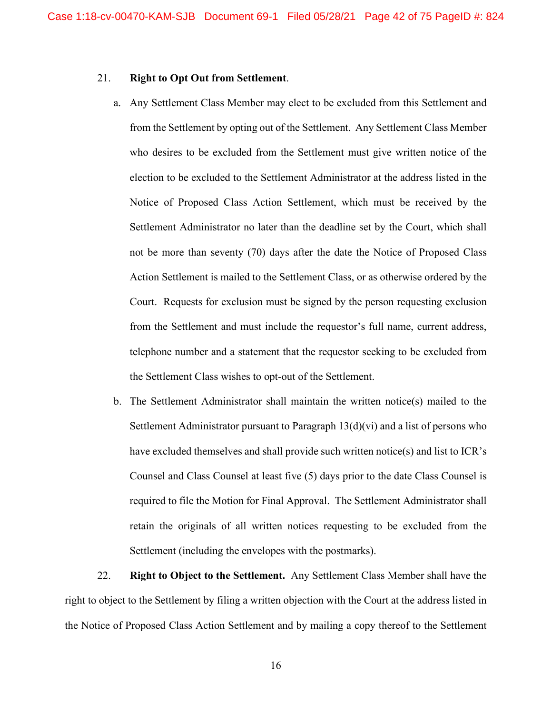### 21. **Right to Opt Out from Settlement**.

- a. Any Settlement Class Member may elect to be excluded from this Settlement and from the Settlement by opting out of the Settlement. Any Settlement Class Member who desires to be excluded from the Settlement must give written notice of the election to be excluded to the Settlement Administrator at the address listed in the Notice of Proposed Class Action Settlement, which must be received by the Settlement Administrator no later than the deadline set by the Court, which shall not be more than seventy (70) days after the date the Notice of Proposed Class Action Settlement is mailed to the Settlement Class, or as otherwise ordered by the Court. Requests for exclusion must be signed by the person requesting exclusion from the Settlement and must include the requestor's full name, current address, telephone number and a statement that the requestor seeking to be excluded from the Settlement Class wishes to opt-out of the Settlement.
- b. The Settlement Administrator shall maintain the written notice(s) mailed to the Settlement Administrator pursuant to Paragraph 13(d)(vi) and a list of persons who have excluded themselves and shall provide such written notice(s) and list to ICR's Counsel and Class Counsel at least five (5) days prior to the date Class Counsel is required to file the Motion for Final Approval. The Settlement Administrator shall retain the originals of all written notices requesting to be excluded from the Settlement (including the envelopes with the postmarks).

22. **Right to Object to the Settlement.** Any Settlement Class Member shall have the right to object to the Settlement by filing a written objection with the Court at the address listed in the Notice of Proposed Class Action Settlement and by mailing a copy thereof to the Settlement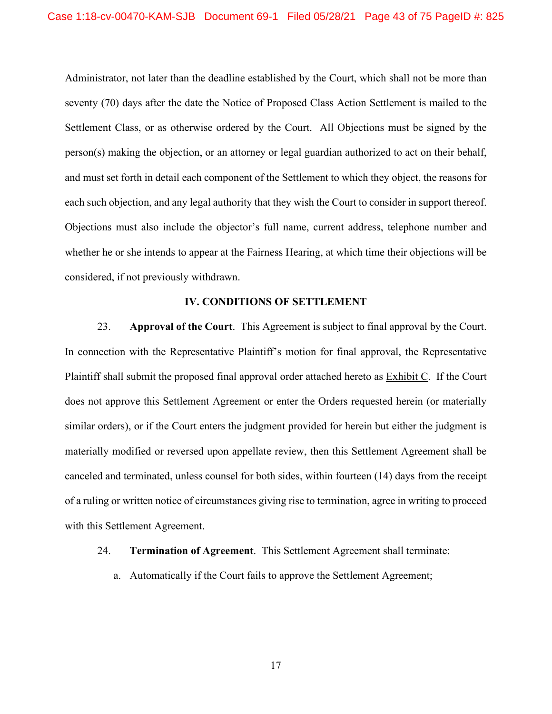Administrator, not later than the deadline established by the Court, which shall not be more than seventy (70) days after the date the Notice of Proposed Class Action Settlement is mailed to the Settlement Class, or as otherwise ordered by the Court. All Objections must be signed by the person(s) making the objection, or an attorney or legal guardian authorized to act on their behalf, and must set forth in detail each component of the Settlement to which they object, the reasons for each such objection, and any legal authority that they wish the Court to consider in support thereof. Objections must also include the objector's full name, current address, telephone number and whether he or she intends to appear at the Fairness Hearing, at which time their objections will be considered, if not previously withdrawn.

#### **IV. CONDITIONS OF SETTLEMENT**

23. **Approval of the Court**. This Agreement is subject to final approval by the Court. In connection with the Representative Plaintiff's motion for final approval, the Representative Plaintiff shall submit the proposed final approval order attached hereto as Exhibit C. If the Court does not approve this Settlement Agreement or enter the Orders requested herein (or materially similar orders), or if the Court enters the judgment provided for herein but either the judgment is materially modified or reversed upon appellate review, then this Settlement Agreement shall be canceled and terminated, unless counsel for both sides, within fourteen (14) days from the receipt of a ruling or written notice of circumstances giving rise to termination, agree in writing to proceed with this Settlement Agreement.

## 24. **Termination of Agreement**. This Settlement Agreement shall terminate:

a. Automatically if the Court fails to approve the Settlement Agreement;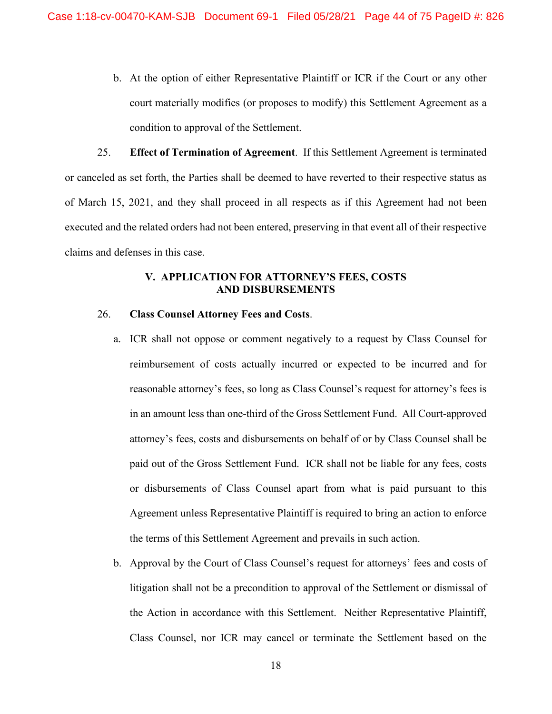b. At the option of either Representative Plaintiff or ICR if the Court or any other court materially modifies (or proposes to modify) this Settlement Agreement as a condition to approval of the Settlement.

25. **Effect of Termination of Agreement**. If this Settlement Agreement is terminated or canceled as set forth, the Parties shall be deemed to have reverted to their respective status as of March 15, 2021, and they shall proceed in all respects as if this Agreement had not been executed and the related orders had not been entered, preserving in that event all of their respective claims and defenses in this case.

### **V. APPLICATION FOR ATTORNEY'S FEES, COSTS AND DISBURSEMENTS**

## 26. **Class Counsel Attorney Fees and Costs**.

- a. ICR shall not oppose or comment negatively to a request by Class Counsel for reimbursement of costs actually incurred or expected to be incurred and for reasonable attorney's fees, so long as Class Counsel's request for attorney's fees is in an amount less than one-third of the Gross Settlement Fund. All Court-approved attorney's fees, costs and disbursements on behalf of or by Class Counsel shall be paid out of the Gross Settlement Fund. ICR shall not be liable for any fees, costs or disbursements of Class Counsel apart from what is paid pursuant to this Agreement unless Representative Plaintiff is required to bring an action to enforce the terms of this Settlement Agreement and prevails in such action.
- b. Approval by the Court of Class Counsel's request for attorneys' fees and costs of litigation shall not be a precondition to approval of the Settlement or dismissal of the Action in accordance with this Settlement. Neither Representative Plaintiff, Class Counsel, nor ICR may cancel or terminate the Settlement based on the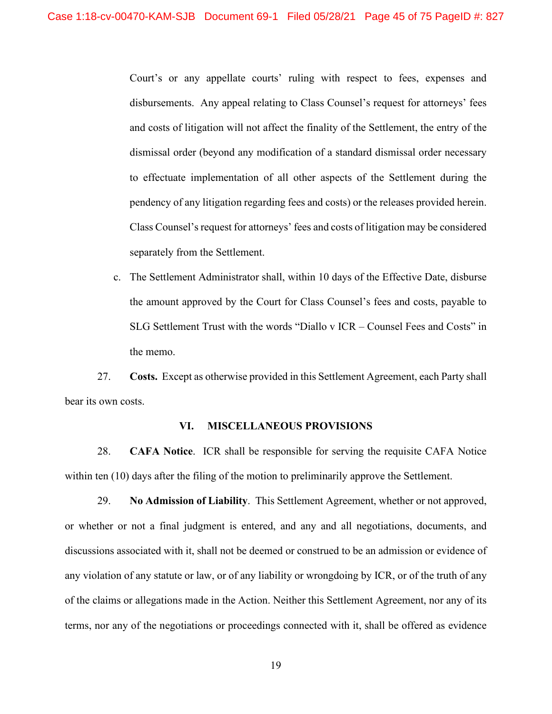Court's or any appellate courts' ruling with respect to fees, expenses and disbursements. Any appeal relating to Class Counsel's request for attorneys' fees and costs of litigation will not affect the finality of the Settlement, the entry of the dismissal order (beyond any modification of a standard dismissal order necessary to effectuate implementation of all other aspects of the Settlement during the pendency of any litigation regarding fees and costs) or the releases provided herein. Class Counsel's request for attorneys' fees and costs of litigation may be considered separately from the Settlement.

c. The Settlement Administrator shall, within 10 days of the Effective Date, disburse the amount approved by the Court for Class Counsel's fees and costs, payable to SLG Settlement Trust with the words "Diallo v ICR – Counsel Fees and Costs" in the memo.

27. **Costs.** Except as otherwise provided in this Settlement Agreement, each Party shall bear its own costs.

#### **VI. MISCELLANEOUS PROVISIONS**

28. **CAFA Notice**. ICR shall be responsible for serving the requisite CAFA Notice within ten (10) days after the filing of the motion to preliminarily approve the Settlement.

29. **No Admission of Liability**. This Settlement Agreement, whether or not approved, or whether or not a final judgment is entered, and any and all negotiations, documents, and discussions associated with it, shall not be deemed or construed to be an admission or evidence of any violation of any statute or law, or of any liability or wrongdoing by ICR, or of the truth of any of the claims or allegations made in the Action. Neither this Settlement Agreement, nor any of its terms, nor any of the negotiations or proceedings connected with it, shall be offered as evidence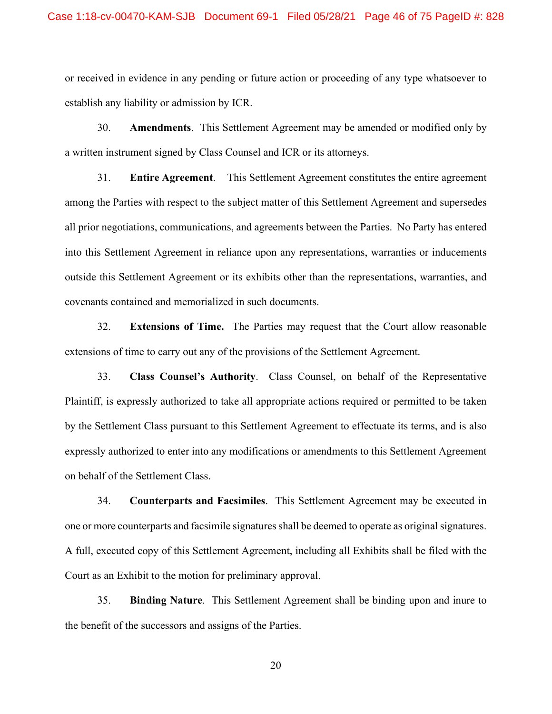or received in evidence in any pending or future action or proceeding of any type whatsoever to establish any liability or admission by ICR.

30. **Amendments**. This Settlement Agreement may be amended or modified only by a written instrument signed by Class Counsel and ICR or its attorneys.

31. **Entire Agreement**. This Settlement Agreement constitutes the entire agreement among the Parties with respect to the subject matter of this Settlement Agreement and supersedes all prior negotiations, communications, and agreements between the Parties. No Party has entered into this Settlement Agreement in reliance upon any representations, warranties or inducements outside this Settlement Agreement or its exhibits other than the representations, warranties, and covenants contained and memorialized in such documents.

32. **Extensions of Time.** The Parties may request that the Court allow reasonable extensions of time to carry out any of the provisions of the Settlement Agreement.

33. **Class Counsel's Authority**. Class Counsel, on behalf of the Representative Plaintiff, is expressly authorized to take all appropriate actions required or permitted to be taken by the Settlement Class pursuant to this Settlement Agreement to effectuate its terms, and is also expressly authorized to enter into any modifications or amendments to this Settlement Agreement on behalf of the Settlement Class.

34. **Counterparts and Facsimiles**. This Settlement Agreement may be executed in one or more counterparts and facsimile signatures shall be deemed to operate as original signatures. A full, executed copy of this Settlement Agreement, including all Exhibits shall be filed with the Court as an Exhibit to the motion for preliminary approval.

35. **Binding Nature**. This Settlement Agreement shall be binding upon and inure to the benefit of the successors and assigns of the Parties.

20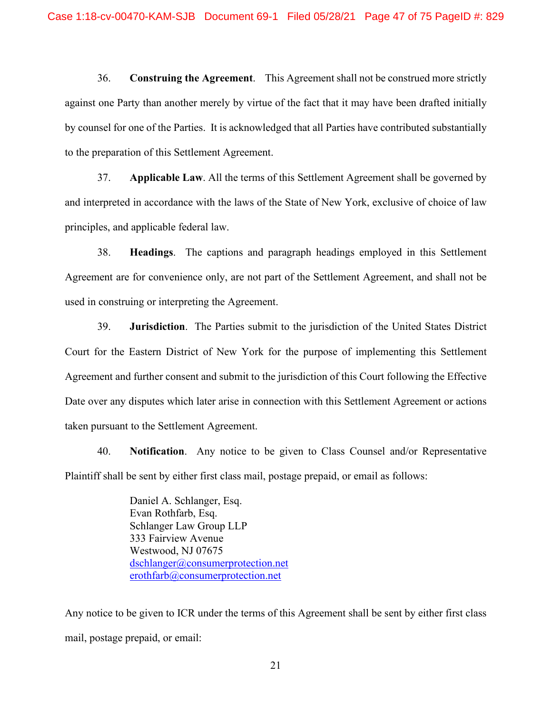36. **Construing the Agreement**. This Agreement shall not be construed more strictly against one Party than another merely by virtue of the fact that it may have been drafted initially by counsel for one of the Parties. It is acknowledged that all Parties have contributed substantially to the preparation of this Settlement Agreement.

37. **Applicable Law**. All the terms of this Settlement Agreement shall be governed by and interpreted in accordance with the laws of the State of New York, exclusive of choice of law principles, and applicable federal law.

38. **Headings**. The captions and paragraph headings employed in this Settlement Agreement are for convenience only, are not part of the Settlement Agreement, and shall not be used in construing or interpreting the Agreement.

39. **Jurisdiction**. The Parties submit to the jurisdiction of the United States District Court for the Eastern District of New York for the purpose of implementing this Settlement Agreement and further consent and submit to the jurisdiction of this Court following the Effective Date over any disputes which later arise in connection with this Settlement Agreement or actions taken pursuant to the Settlement Agreement.

40. **Notification**. Any notice to be given to Class Counsel and/or Representative Plaintiff shall be sent by either first class mail, postage prepaid, or email as follows:

> Daniel A. Schlanger, Esq. Evan Rothfarb, Esq. Schlanger Law Group LLP 333 Fairview Avenue Westwood, NJ 07675 [dschlanger@consumerprotection.net](mailto:dschlanger@consumerprotection.net) [erothfarb@consumerprotection.net](mailto:erothfarb@consumerprotection.net)

Any notice to be given to ICR under the terms of this Agreement shall be sent by either first class mail, postage prepaid, or email:

21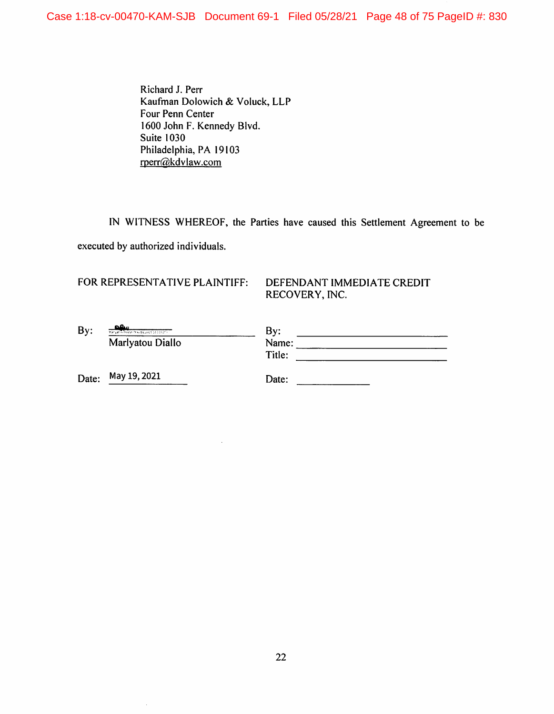Richard J. Perr Kaufman Dolowich & Voluck, LLP Four Penn Center 1600 John F. Kennedy Blvd. **Suite 1030** Philadelphia, PA 19103 rperr@kdvlaw.com

IN WITNESS WHEREOF, the Parties have caused this Settlement Agreement to be executed by authorized individuals.

# FOR REPRESENTATIVE PLAINTIFF:

## DEFENDANT IMMEDIATE CREDIT RECOVERY, INC.

| By: | مم<br>Manyat of Philadelphia Tacket 13 (2010) 1 | By:    |
|-----|-------------------------------------------------|--------|
|     | Marlyatou Diallo                                | Name:  |
|     |                                                 | Title: |
|     |                                                 |        |

Date: May 19, 2021

 $\hat{\mathcal{A}}$ 

Date: and the same state of the state of the state of the state of the state of the state of the state of the state of the state of the state of the state of the state of the state of the state of the state of the state of